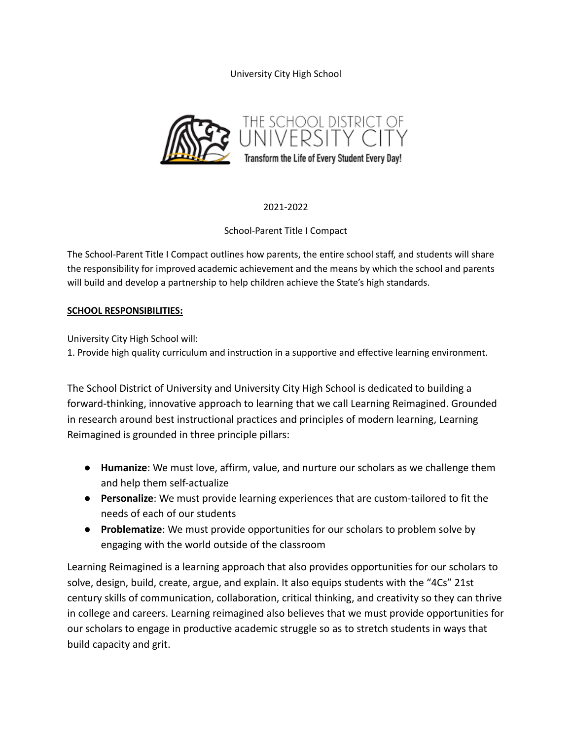University City High School



# 2021-2022

# School-Parent Title I Compact

The School-Parent Title I Compact outlines how parents, the entire school staff, and students will share the responsibility for improved academic achievement and the means by which the school and parents will build and develop a partnership to help children achieve the State's high standards.

# **SCHOOL RESPONSIBILITIES:**

University City High School will:

1. Provide high quality curriculum and instruction in a supportive and effective learning environment.

The School District of University and University City High School is dedicated to building a forward-thinking, innovative approach to learning that we call Learning Reimagined. Grounded in research around best instructional practices and principles of modern learning, Learning Reimagined is grounded in three principle pillars:

- **Humanize**: We must love, affirm, value, and nurture our scholars as we challenge them and help them self-actualize
- **Personalize**: We must provide learning experiences that are custom-tailored to fit the needs of each of our students
- **Problematize**: We must provide opportunities for our scholars to problem solve by engaging with the world outside of the classroom

Learning Reimagined is a learning approach that also provides opportunities for our scholars to solve, design, build, create, argue, and explain. It also equips students with the "4Cs" 21st century skills of communication, collaboration, critical thinking, and creativity so they can thrive in college and careers. Learning reimagined also believes that we must provide opportunities for our scholars to engage in productive academic struggle so as to stretch students in ways that build capacity and grit.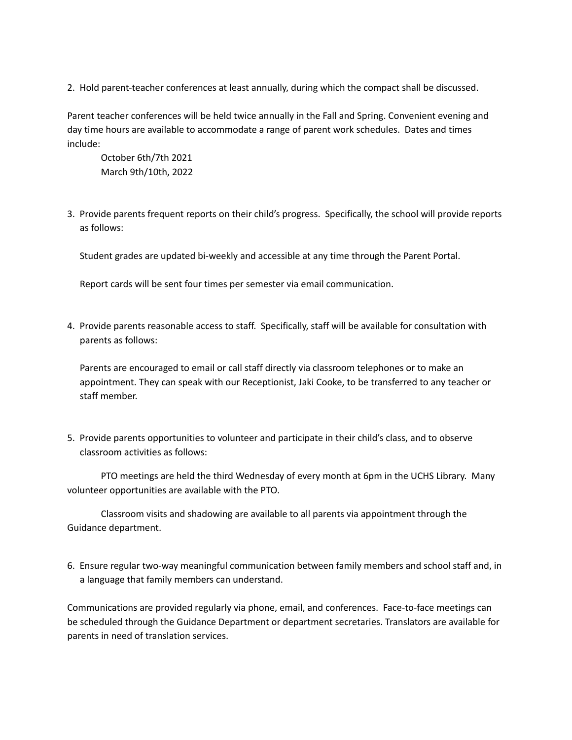2. Hold parent-teacher conferences at least annually, during which the compact shall be discussed.

Parent teacher conferences will be held twice annually in the Fall and Spring. Convenient evening and day time hours are available to accommodate a range of parent work schedules. Dates and times include:

October 6th/7th 2021 March 9th/10th, 2022

3. Provide parents frequent reports on their child's progress. Specifically, the school will provide reports as follows:

Student grades are updated bi-weekly and accessible at any time through the Parent Portal.

Report cards will be sent four times per semester via email communication.

4. Provide parents reasonable access to staff. Specifically, staff will be available for consultation with parents as follows:

Parents are encouraged to email or call staff directly via classroom telephones or to make an appointment. They can speak with our Receptionist, Jaki Cooke, to be transferred to any teacher or staff member.

5. Provide parents opportunities to volunteer and participate in their child's class, and to observe classroom activities as follows:

PTO meetings are held the third Wednesday of every month at 6pm in the UCHS Library. Many volunteer opportunities are available with the PTO.

Classroom visits and shadowing are available to all parents via appointment through the Guidance department.

6. Ensure regular two-way meaningful communication between family members and school staff and, in a language that family members can understand.

Communications are provided regularly via phone, email, and conferences. Face-to-face meetings can be scheduled through the Guidance Department or department secretaries. Translators are available for parents in need of translation services.